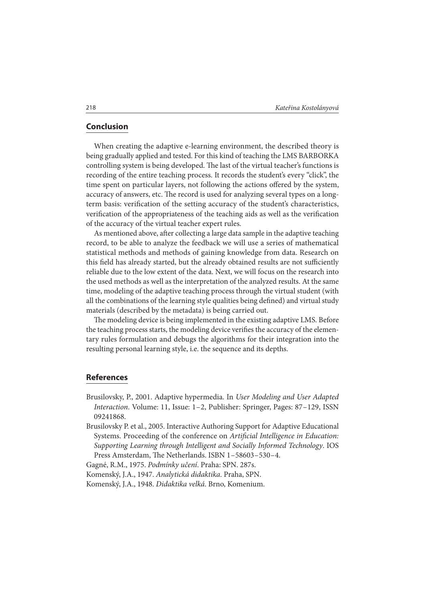## **Conclusion**

When creating the adaptive e-learning environment, the described theory is being gradually applied and tested. For this kind of teaching the LMS BARBORKA controlling system is being developed. The last of the virtual teacher's functions is recording of the entire teaching process. It records the student's every "click", the time spent on particular layers, not following the actions offered by the system, accuracy of answers, etc. The record is used for analyzing several types on a longterm basis: verification of the setting accuracy of the student's characteristics, verification of the appropriateness of the teaching aids as well as the verification of the accuracy of the virtual teacher expert rules.

As mentioned above, after collecting a large data sample in the adaptive teaching record, to be able to analyze the feedback we will use a series of mathematical statistical methods and methods of gaining knowledge from data. Research on this field has already started, but the already obtained results are not sufficiently reliable due to the low extent of the data. Next, we will focus on the research into the used methods as well as the interpretation of the analyzed results. At the same time, modeling of the adaptive teaching process through the virtual student (with all the combinations of the learning style qualities being defined) and virtual study materials (described by the metadata) is being carried out.

The modeling device is being implemented in the existing adaptive LMS. Before the teaching process starts, the modeling device verifies the accuracy of the elementary rules formulation and debugs the algorithms for their integration into the resulting personal learning style, i.e. the sequence and its depths.

## **References**

- Brusilovsky, P., 2001. Adaptive hypermedia. In User Modeling and User Adapted Interaction. Volume: 11, Issue: 1 – 2, Publisher: Springer, Pages: 87 – 129, ISSN 09241868.
- Brusilovsky P. et al., 2005. Interactive Authoring Support for Adaptive Educational Systems. Proceeding of the conference on Artificial Intelligence in Education: Supporting Learning through Intelligent and Socially Informed Technology. IOS Press Amsterdam, The Netherlands. ISBN 1-58603-530-4.

Gagné, R.M., 1975. Podmínky učení. Praha: SPN. 287s.

Komenský, J.A., 1947. Analytická didaktika. Praha, SPN.

Komenský, J.A., 1948. Didaktika velká. Brno, Komenium.